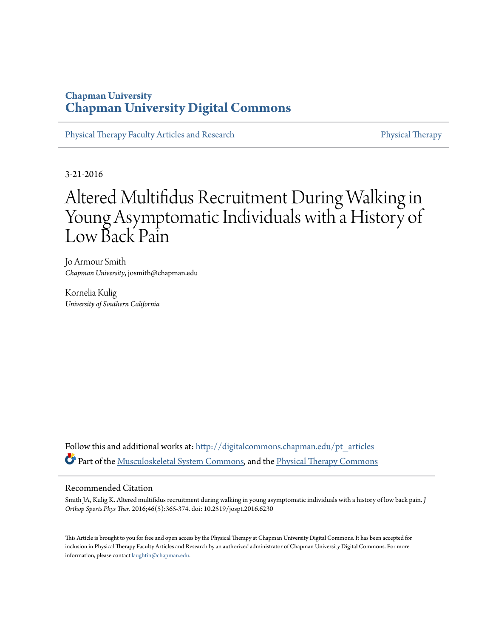## **Chapman University [Chapman University Digital Commons](http://digitalcommons.chapman.edu?utm_source=digitalcommons.chapman.edu%2Fpt_articles%2F43&utm_medium=PDF&utm_campaign=PDFCoverPages)**

[Physical Therapy Faculty Articles and Research](http://digitalcommons.chapman.edu/pt_articles?utm_source=digitalcommons.chapman.edu%2Fpt_articles%2F43&utm_medium=PDF&utm_campaign=PDFCoverPages) [Physical Therapy](http://digitalcommons.chapman.edu/physicaltherapy?utm_source=digitalcommons.chapman.edu%2Fpt_articles%2F43&utm_medium=PDF&utm_campaign=PDFCoverPages)

3-21-2016

# Altered Multifidus Recruitment During Walking in Young Asymptomatic Individuals with a History of Low Back Pain

Jo Armour Smith *Chapman University*, josmith@chapman.edu

Kornelia Kulig *University of Southern California*

Follow this and additional works at: [http://digitalcommons.chapman.edu/pt\\_articles](http://digitalcommons.chapman.edu/pt_articles?utm_source=digitalcommons.chapman.edu%2Fpt_articles%2F43&utm_medium=PDF&utm_campaign=PDFCoverPages) Part of the [Musculoskeletal System Commons,](http://network.bepress.com/hgg/discipline/938?utm_source=digitalcommons.chapman.edu%2Fpt_articles%2F43&utm_medium=PDF&utm_campaign=PDFCoverPages) and the [Physical Therapy Commons](http://network.bepress.com/hgg/discipline/754?utm_source=digitalcommons.chapman.edu%2Fpt_articles%2F43&utm_medium=PDF&utm_campaign=PDFCoverPages)

#### Recommended Citation

Smith JA, Kulig K. Altered multifidus recruitment during walking in young asymptomatic individuals with a history of low back pain. *J Orthop Sports Phys Ther*. 2016;46(5):365-374. doi: 10.2519/jospt.2016.6230

This Article is brought to you for free and open access by the Physical Therapy at Chapman University Digital Commons. It has been accepted for inclusion in Physical Therapy Faculty Articles and Research by an authorized administrator of Chapman University Digital Commons. For more information, please contact [laughtin@chapman.edu](mailto:laughtin@chapman.edu).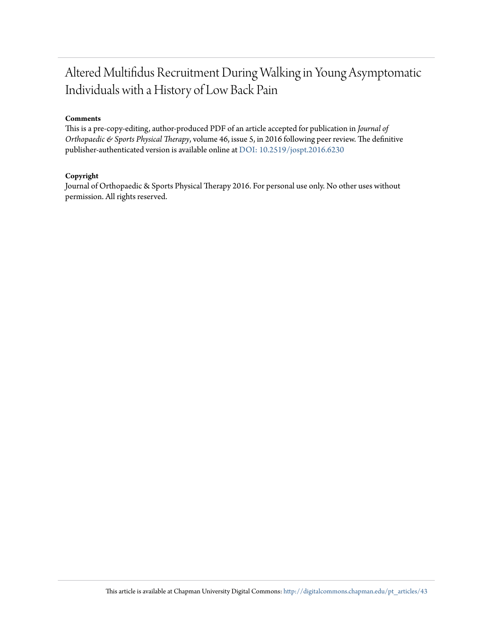## Altered Multifidus Recruitment During Walking in Young Asymptomatic Individuals with a History of Low Back Pain

#### **Comments**

This is a pre-copy-editing, author-produced PDF of an article accepted for publication in *Journal of Orthopaedic & Sports Physical Therapy*, volume 46, issue 5, in 2016 following peer review. The definitive publisher-authenticated version is available online at [DOI: 10.2519/jospt.2016.6230](http://dx.doi.org/10.2519/jospt.2016.6230)

#### **Copyright**

Journal of Orthopaedic & Sports Physical Therapy 2016. For personal use only. No other uses without permission. All rights reserved.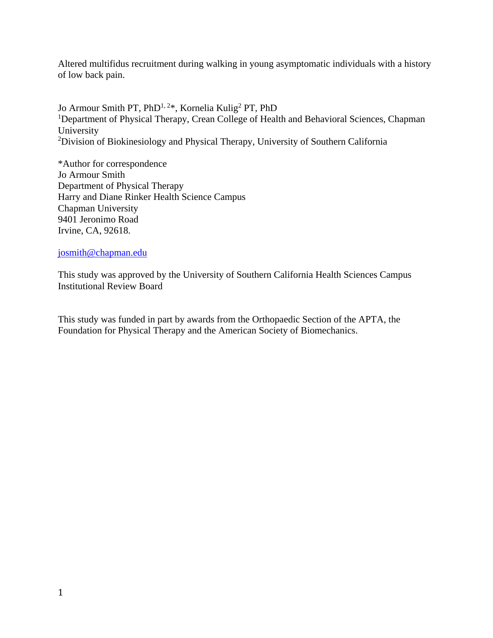Altered multifidus recruitment during walking in young asymptomatic individuals with a history of low back pain.

Jo Armour Smith PT, PhD<sup>1, 2\*</sup>, Kornelia Kulig<sup>2</sup> PT, PhD <sup>1</sup>Department of Physical Therapy, Crean College of Health and Behavioral Sciences, Chapman University <sup>2</sup>Division of Biokinesiology and Physical Therapy, University of Southern California

\*Author for correspondence Jo Armour Smith Department of Physical Therapy Harry and Diane Rinker Health Science Campus Chapman University 9401 Jeronimo Road Irvine, CA, 92618.

## josmith@chapman.edu

This study was approved by the University of Southern California Health Sciences Campus Institutional Review Board

This study was funded in part by awards from the Orthopaedic Section of the APTA, the Foundation for Physical Therapy and the American Society of Biomechanics.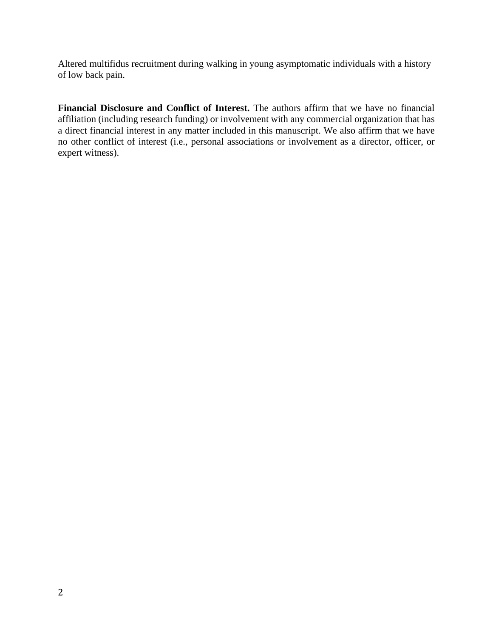Altered multifidus recruitment during walking in young asymptomatic individuals with a history of low back pain.

**Financial Disclosure and Conflict of Interest.** The authors affirm that we have no financial affiliation (including research funding) or involvement with any commercial organization that has a direct financial interest in any matter included in this manuscript. We also affirm that we have no other conflict of interest (i.e., personal associations or involvement as a director, officer, or expert witness).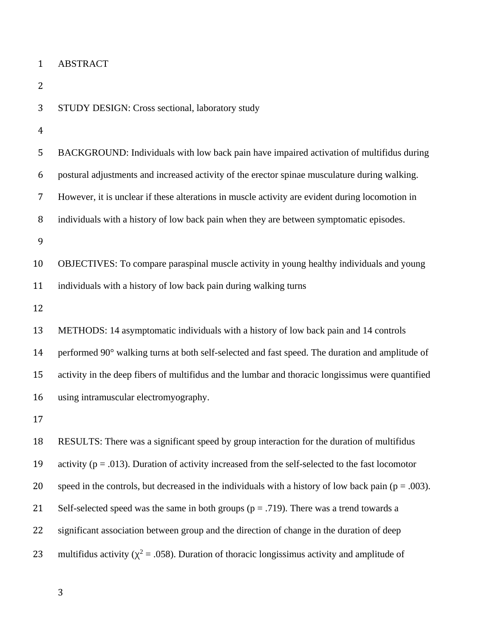| $\mathbf{1}$ | <b>ABSTRACT</b>                                                                                         |
|--------------|---------------------------------------------------------------------------------------------------------|
| 2            |                                                                                                         |
| 3            | STUDY DESIGN: Cross sectional, laboratory study                                                         |
| 4            |                                                                                                         |
| 5            | BACKGROUND: Individuals with low back pain have impaired activation of multifidus during                |
| 6            | postural adjustments and increased activity of the erector spinae musculature during walking.           |
| 7            | However, it is unclear if these alterations in muscle activity are evident during locomotion in         |
| 8            | individuals with a history of low back pain when they are between symptomatic episodes.                 |
| 9            |                                                                                                         |
| 10           | OBJECTIVES: To compare paraspinal muscle activity in young healthy individuals and young                |
| 11           | individuals with a history of low back pain during walking turns                                        |
| 12           |                                                                                                         |
| 13           | METHODS: 14 asymptomatic individuals with a history of low back pain and 14 controls                    |
| 14           | performed 90° walking turns at both self-selected and fast speed. The duration and amplitude of         |
| 15           | activity in the deep fibers of multifidus and the lumbar and thoracic longissimus were quantified       |
| 16           | using intramuscular electromyography.                                                                   |
| 17           |                                                                                                         |
| 18           | RESULTS: There was a significant speed by group interaction for the duration of multifidus              |
| 19           | activity ( $p = .013$ ). Duration of activity increased from the self-selected to the fast locomotor    |
| 20           | speed in the controls, but decreased in the individuals with a history of low back pain ( $p = .003$ ). |
| 21           | Self-selected speed was the same in both groups ( $p = .719$ ). There was a trend towards a             |
| 22           | significant association between group and the direction of change in the duration of deep               |
| 23           | multifidus activity ( $\chi^2$ = .058). Duration of thoracic longissimus activity and amplitude of      |
|              |                                                                                                         |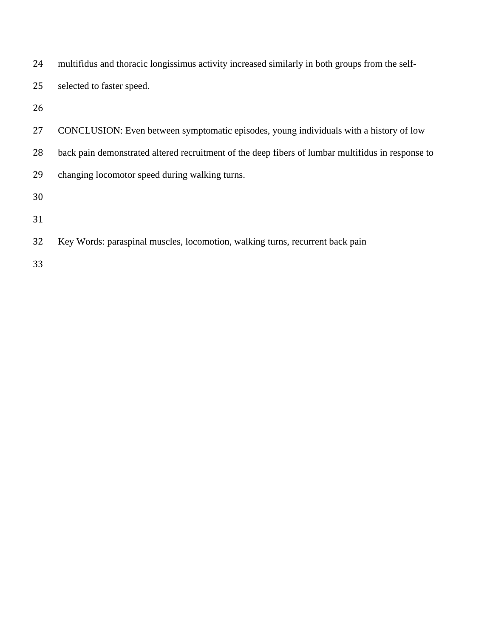| 24 | multifidus and thoracic longissimus activity increased similarly in both groups from the self-    |
|----|---------------------------------------------------------------------------------------------------|
| 25 | selected to faster speed.                                                                         |
| 26 |                                                                                                   |
| 27 | CONCLUSION: Even between symptomatic episodes, young individuals with a history of low            |
| 28 | back pain demonstrated altered recruitment of the deep fibers of lumbar multifidus in response to |
| 29 | changing locomotor speed during walking turns.                                                    |
| 30 |                                                                                                   |
| 31 |                                                                                                   |
| 32 | Key Words: paraspinal muscles, locomotion, walking turns, recurrent back pain                     |
|    |                                                                                                   |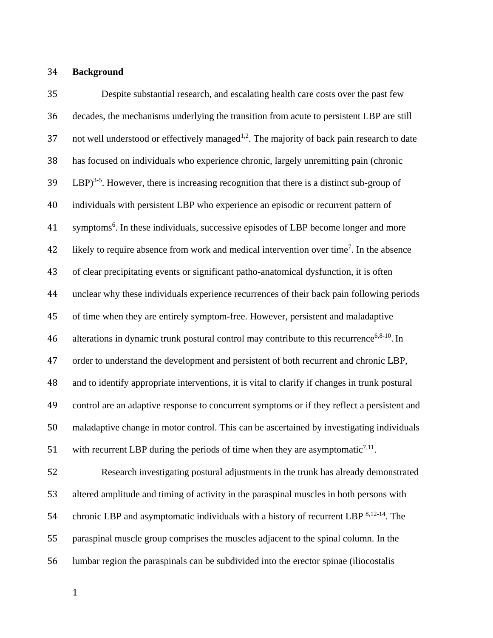### **Background**

 Despite substantial research, and escalating health care costs over the past few decades, the mechanisms underlying the transition from acute to persistent LBP are still 37 not well understood or effectively managed<sup>1,2</sup>. The majority of back pain research to date has focused on individuals who experience chronic, largely unremitting pain (chronic  $LBP$ <sup>3-5</sup>. However, there is increasing recognition that there is a distinct sub-group of individuals with persistent LBP who experience an episodic or recurrent pattern of 41 symptoms<sup>6</sup>. In these individuals, successive episodes of LBP become longer and more 42 likely to require absence from work and medical intervention over time<sup>7</sup>. In the absence of clear precipitating events or significant patho-anatomical dysfunction, it is often unclear why these individuals experience recurrences of their back pain following periods of time when they are entirely symptom-free. However, persistent and maladaptive 46 alterations in dynamic trunk postural control may contribute to this recurrence<sup>6,8-10</sup>. In order to understand the development and persistent of both recurrent and chronic LBP, and to identify appropriate interventions, it is vital to clarify if changes in trunk postural control are an adaptive response to concurrent symptoms or if they reflect a persistent and maladaptive change in motor control. This can be ascertained by investigating individuals 51 with recurrent LBP during the periods of time when they are asymptomatic<sup>7,11</sup>. 52 Research investigating postural adjustments in the trunk has already demonstrated altered amplitude and timing of activity in the paraspinal muscles in both persons with

paraspinal muscle group comprises the muscles adjacent to the spinal column. In the

54 chronic LBP and asymptomatic individuals with a history of recurrent LBP  $8,12-14$ . The

lumbar region the paraspinals can be subdivided into the erector spinae (iliocostalis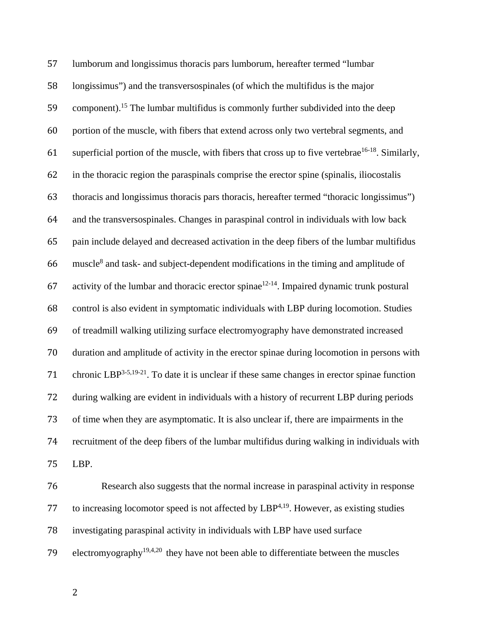lumborum and longissimus thoracis pars lumborum, hereafter termed "lumbar longissimus") and the transversospinales (of which the multifidus is the major 59 component).<sup>15</sup> The lumbar multifidus is commonly further subdivided into the deep portion of the muscle, with fibers that extend across only two vertebral segments, and 61 superficial portion of the muscle, with fibers that cross up to five vertebrae<sup>16-18</sup>. Similarly, in the thoracic region the paraspinals comprise the erector spine (spinalis, iliocostalis thoracis and longissimus thoracis pars thoracis, hereafter termed "thoracic longissimus") and the transversospinales. Changes in paraspinal control in individuals with low back pain include delayed and decreased activation in the deep fibers of the lumbar multifidus muscle8 and task- and subject-dependent modifications in the timing and amplitude of 67 activity of the lumbar and thoracic erector spinae<sup>12-14</sup>. Impaired dynamic trunk postural control is also evident in symptomatic individuals with LBP during locomotion. Studies of treadmill walking utilizing surface electromyography have demonstrated increased duration and amplitude of activity in the erector spinae during locomotion in persons with 71 chronic LBP<sup>3-5,19-21</sup>. To date it is unclear if these same changes in erector spinae function during walking are evident in individuals with a history of recurrent LBP during periods of time when they are asymptomatic. It is also unclear if, there are impairments in the recruitment of the deep fibers of the lumbar multifidus during walking in individuals with LBP.

 Research also suggests that the normal increase in paraspinal activity in response 77 to increasing locomotor speed is not affected by  $LBP^{4,19}$ . However, as existing studies investigating paraspinal activity in individuals with LBP have used surface 79 electromyography<sup>19,4,20</sup> they have not been able to differentiate between the muscles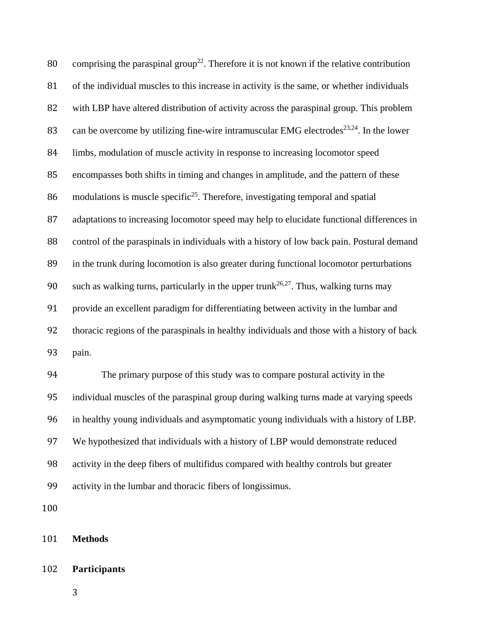80 comprising the paraspinal group<sup>22</sup>. Therefore it is not known if the relative contribution 81 of the individual muscles to this increase in activity is the same, or whether individuals 82 with LBP have altered distribution of activity across the paraspinal group. This problem 83 can be overcome by utilizing fine-wire intramuscular EMG electrodes<sup>23,24</sup>. In the lower 84 limbs, modulation of muscle activity in response to increasing locomotor speed 85 encompasses both shifts in timing and changes in amplitude, and the pattern of these 86 modulations is muscle specific<sup>25</sup>. Therefore, investigating temporal and spatial 87 adaptations to increasing locomotor speed may help to elucidate functional differences in 88 control of the paraspinals in individuals with a history of low back pain. Postural demand 89 in the trunk during locomotion is also greater during functional locomotor perturbations 90 such as walking turns, particularly in the upper trunk<sup>26,27</sup>. Thus, walking turns may 91 provide an excellent paradigm for differentiating between activity in the lumbar and 92 thoracic regions of the paraspinals in healthy individuals and those with a history of back 93 pain. 94 The primary purpose of this study was to compare postural activity in the 95 individual muscles of the paraspinal group during walking turns made at varying speeds

96 in healthy young individuals and asymptomatic young individuals with a history of LBP.

97 We hypothesized that individuals with a history of LBP would demonstrate reduced

98 activity in the deep fibers of multifidus compared with healthy controls but greater

99 activity in the lumbar and thoracic fibers of longissimus.

100 

## 101 **Methods**

## 102 **Participants**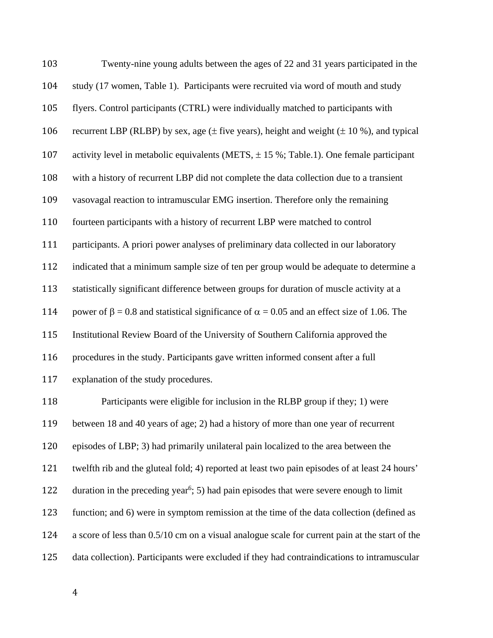| 103 | Twenty-nine young adults between the ages of 22 and 31 years participated in the                    |
|-----|-----------------------------------------------------------------------------------------------------|
| 104 | study (17 women, Table 1). Participants were recruited via word of mouth and study                  |
| 105 | flyers. Control participants (CTRL) were individually matched to participants with                  |
| 106 | recurrent LBP (RLBP) by sex, age $(\pm$ five years), height and weight $(\pm 10\%)$ , and typical   |
| 107 | activity level in metabolic equivalents (METS, $\pm$ 15 %; Table.1). One female participant         |
| 108 | with a history of recurrent LBP did not complete the data collection due to a transient             |
| 109 | vasovagal reaction to intramuscular EMG insertion. Therefore only the remaining                     |
| 110 | fourteen participants with a history of recurrent LBP were matched to control                       |
| 111 | participants. A priori power analyses of preliminary data collected in our laboratory               |
| 112 | indicated that a minimum sample size of ten per group would be adequate to determine a              |
| 113 | statistically significant difference between groups for duration of muscle activity at a            |
| 114 | power of β = 0.8 and statistical significance of $\alpha$ = 0.05 and an effect size of 1.06. The    |
| 115 | Institutional Review Board of the University of Southern California approved the                    |
| 116 | procedures in the study. Participants gave written informed consent after a full                    |
| 117 | explanation of the study procedures.                                                                |
| 118 | Participants were eligible for inclusion in the RLBP group if they; 1) were                         |
| 119 | between 18 and 40 years of age; 2) had a history of more than one year of recurrent                 |
| 120 | episodes of LBP; 3) had primarily unilateral pain localized to the area between the                 |
| 121 | twelfth rib and the gluteal fold; 4) reported at least two pain episodes of at least 24 hours'      |
| 122 | duration in the preceding year <sup>6</sup> ; 5) had pain episodes that were severe enough to limit |
| 123 | function; and 6) were in symptom remission at the time of the data collection (defined as           |
| 124 | a score of less than 0.5/10 cm on a visual analogue scale for current pain at the start of the      |

data collection). Participants were excluded if they had contraindications to intramuscular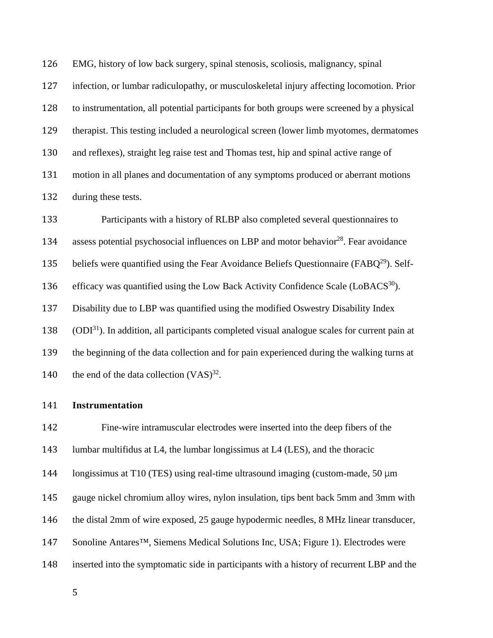126 EMG, history of low back surgery, spinal stenosis, scoliosis, malignancy, spinal 127 infection, or lumbar radiculopathy, or musculoskeletal injury affecting locomotion. Prior 128 to instrumentation, all potential participants for both groups were screened by a physical 129 therapist. This testing included a neurological screen (lower limb myotomes, dermatomes 130 and reflexes), straight leg raise test and Thomas test, hip and spinal active range of 131 motion in all planes and documentation of any symptoms produced or aberrant motions 132 during these tests.

133 Participants with a history of RLBP also completed several questionnaires to 134 assess potential psychosocial influences on LBP and motor behavior<sup>28</sup>. Fear avoidance 135 beliefs were quantified using the Fear Avoidance Beliefs Questionnaire ( $FABQ<sup>29</sup>$ ). Self-136 efficacy was quantified using the Low Back Activity Confidence Scale  $(LoBACS<sup>30</sup>)$ . 137 Disability due to LBP was quantified using the modified Oswestry Disability Index  $138$  (ODI<sup>31</sup>). In addition, all participants completed visual analogue scales for current pain at 139 the beginning of the data collection and for pain experienced during the walking turns at 140 the end of the data collection  $(VAS)^{32}$ .

## 141 **Instrumentation**

 Fine-wire intramuscular electrodes were inserted into the deep fibers of the lumbar multifidus at L4, the lumbar longissimus at L4 (LES), and the thoracic 144 Iongissimus at T10 (TES) using real-time ultrasound imaging (custom-made, 50  $\mu$ m gauge nickel chromium alloy wires, nylon insulation, tips bent back 5mm and 3mm with the distal 2mm of wire exposed, 25 gauge hypodermic needles, 8 MHz linear transducer, 147 Sonoline Antares<sup>™</sup>, Siemens Medical Solutions Inc, USA; Figure 1). Electrodes were inserted into the symptomatic side in participants with a history of recurrent LBP and the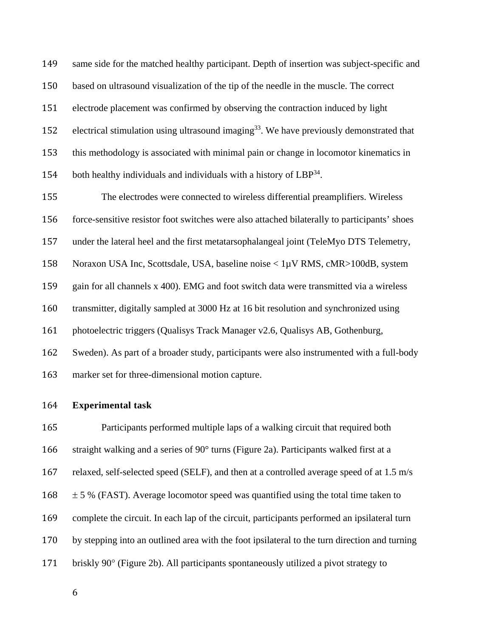149 same side for the matched healthy participant. Depth of insertion was subject-specific and 150 based on ultrasound visualization of the tip of the needle in the muscle. The correct 151 electrode placement was confirmed by observing the contraction induced by light 152 electrical stimulation using ultrasound imaging<sup>33</sup>. We have previously demonstrated that 153 this methodology is associated with minimal pain or change in locomotor kinematics in 154 both healthy individuals and individuals with a history of  $LBP^{34}$ .

155 The electrodes were connected to wireless differential preamplifiers. Wireless 156 force-sensitive resistor foot switches were also attached bilaterally to participants' shoes 157 under the lateral heel and the first metatarsophalangeal joint (TeleMyo DTS Telemetry, 158 Noraxon USA Inc, Scottsdale, USA, baseline noise < 1µV RMS, cMR>100dB, system 159 gain for all channels x 400). EMG and foot switch data were transmitted via a wireless 160 transmitter, digitally sampled at 3000 Hz at 16 bit resolution and synchronized using 161 photoelectric triggers (Qualisys Track Manager v2.6, Qualisys AB, Gothenburg, 162 Sweden). As part of a broader study, participants were also instrumented with a full-body 163 marker set for three-dimensional motion capture.

## 164 **Experimental task**

165 Participants performed multiple laps of a walking circuit that required both 166 straight walking and a series of 90° turns (Figure 2a). Participants walked first at a 167 relaxed, self-selected speed (SELF), and then at a controlled average speed of at 1.5 m/s  $168 \pm 5$  % (FAST). Average locomotor speed was quantified using the total time taken to 169 complete the circuit. In each lap of the circuit, participants performed an ipsilateral turn 170 by stepping into an outlined area with the foot ipsilateral to the turn direction and turning 171 briskly  $90^{\circ}$  (Figure 2b). All participants spontaneously utilized a pivot strategy to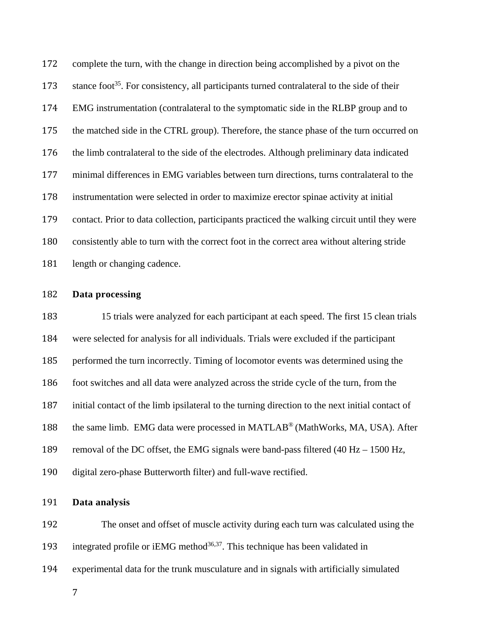172 complete the turn, with the change in direction being accomplished by a pivot on the stance foot<sup>35</sup>. For consistency, all participants turned contralateral to the side of their EMG instrumentation (contralateral to the symptomatic side in the RLBP group and to 175 the matched side in the CTRL group). Therefore, the stance phase of the turn occurred on 176 the limb contralateral to the side of the electrodes. Although preliminary data indicated 177 minimal differences in EMG variables between turn directions, turns contralateral to the instrumentation were selected in order to maximize erector spinae activity at initial contact. Prior to data collection, participants practiced the walking circuit until they were consistently able to turn with the correct foot in the correct area without altering stride 181 length or changing cadence.

## **Data processing**

 15 trials were analyzed for each participant at each speed. The first 15 clean trials were selected for analysis for all individuals. Trials were excluded if the participant performed the turn incorrectly. Timing of locomotor events was determined using the foot switches and all data were analyzed across the stride cycle of the turn, from the initial contact of the limb ipsilateral to the turning direction to the next initial contact of 188 the same limb. EMG data were processed in MATLAB<sup>®</sup> (MathWorks, MA, USA). After 189 removal of the DC offset, the EMG signals were band-pass filtered (40 Hz – 1500 Hz, digital zero-phase Butterworth filter) and full-wave rectified.

## **Data analysis**

192 The onset and offset of muscle activity during each turn was calculated using the 193 integrated profile or iEMG method<sup>36,37</sup>. This technique has been validated in

experimental data for the trunk musculature and in signals with artificially simulated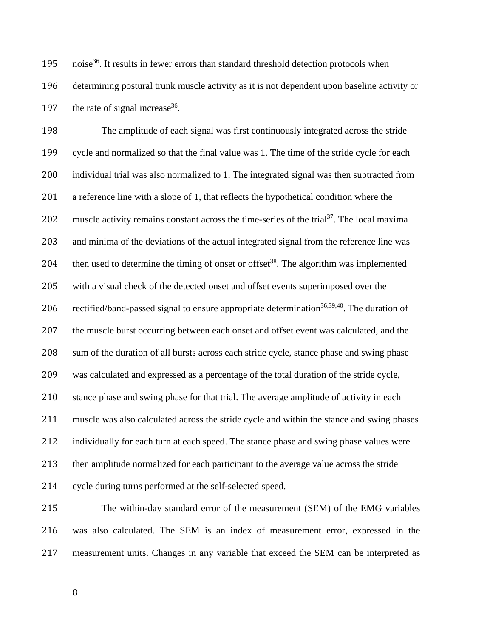195 noise<sup>36</sup>. It results in fewer errors than standard threshold detection protocols when 196 determining postural trunk muscle activity as it is not dependent upon baseline activity or 197 the rate of signal increase  $36$ .

198 The amplitude of each signal was first continuously integrated across the stride 199 cycle and normalized so that the final value was 1. The time of the stride cycle for each 200 individual trial was also normalized to 1. The integrated signal was then subtracted from 201 a reference line with a slope of 1, that reflects the hypothetical condition where the 202 muscle activity remains constant across the time-series of the trial<sup>37</sup>. The local maxima 203 and minima of the deviations of the actual integrated signal from the reference line was 204 then used to determine the timing of onset or offset<sup>38</sup>. The algorithm was implemented 205 with a visual check of the detected onset and offset events superimposed over the 206 rectified/band-passed signal to ensure appropriate determination<sup>36,39,40</sup>. The duration of 207 the muscle burst occurring between each onset and offset event was calculated, and the 208 sum of the duration of all bursts across each stride cycle, stance phase and swing phase 209 was calculated and expressed as a percentage of the total duration of the stride cycle, 210 stance phase and swing phase for that trial. The average amplitude of activity in each 211 muscle was also calculated across the stride cycle and within the stance and swing phases 212 individually for each turn at each speed. The stance phase and swing phase values were 213 then amplitude normalized for each participant to the average value across the stride 214 cycle during turns performed at the self-selected speed.

215 The within-day standard error of the measurement (SEM) of the EMG variables 216 was also calculated. The SEM is an index of measurement error, expressed in the 217 measurement units. Changes in any variable that exceed the SEM can be interpreted as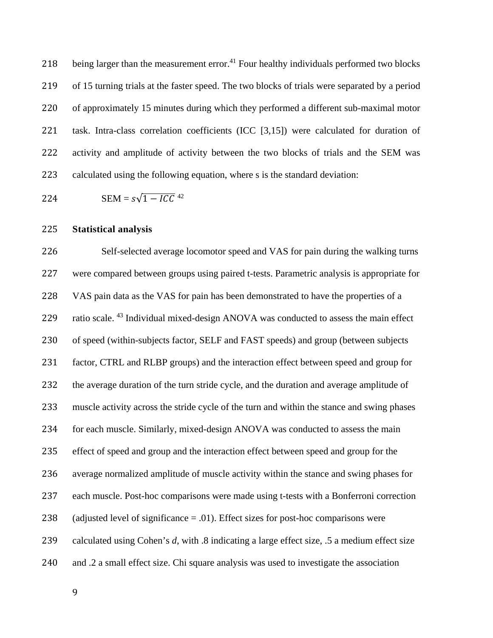218 being larger than the measurement error.<sup>41</sup> Four healthy individuals performed two blocks 219 of 15 turning trials at the faster speed. The two blocks of trials were separated by a period 220 of approximately 15 minutes during which they performed a different sub-maximal motor 221 task. Intra-class correlation coefficients (ICC [3,15]) were calculated for duration of 222 activity and amplitude of activity between the two blocks of trials and the SEM was 223 calculated using the following equation, where s is the standard deviation:

224 SEM =  $s\sqrt{1 - I C C}$ <sup>42</sup>

## 225 **Statistical analysis**

226 Self-selected average locomotor speed and VAS for pain during the walking turns 227 were compared between groups using paired t-tests. Parametric analysis is appropriate for 228 VAS pain data as the VAS for pain has been demonstrated to have the properties of a 229 ratio scale. <sup>43</sup> Individual mixed-design ANOVA was conducted to assess the main effect 230 of speed (within-subjects factor, SELF and FAST speeds) and group (between subjects 231 factor, CTRL and RLBP groups) and the interaction effect between speed and group for 232 the average duration of the turn stride cycle, and the duration and average amplitude of 233 muscle activity across the stride cycle of the turn and within the stance and swing phases 234 for each muscle. Similarly, mixed-design ANOVA was conducted to assess the main 235 effect of speed and group and the interaction effect between speed and group for the 236 average normalized amplitude of muscle activity within the stance and swing phases for 237 each muscle. Post-hoc comparisons were made using t-tests with a Bonferroni correction 238 (adjusted level of significance  $= .01$ ). Effect sizes for post-hoc comparisons were 239 calculated using Cohen's *d*, with .8 indicating a large effect size, .5 a medium effect size 240 and .2 a small effect size. Chi square analysis was used to investigate the association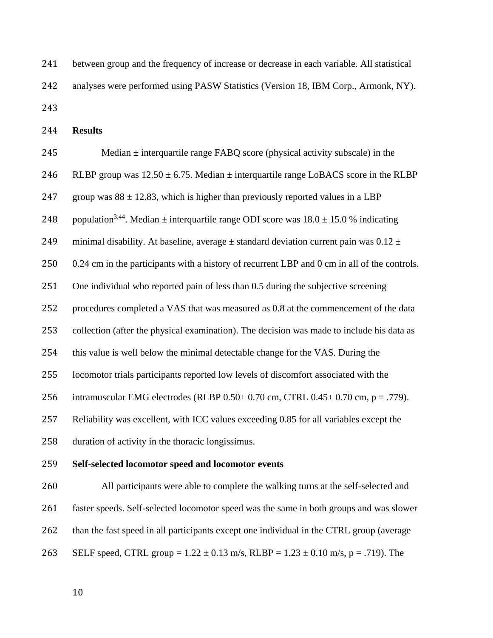241 between group and the frequency of increase or decrease in each variable. All statistical 242 analyses were performed using PASW Statistics (Version 18, IBM Corp., Armonk, NY). 

**Results** 

| 245 | Median $\pm$ interquartile range FABQ score (physical activity subscale) in the                          |
|-----|----------------------------------------------------------------------------------------------------------|
| 246 | RLBP group was $12.50 \pm 6.75$ . Median $\pm$ interquartile range LoBACS score in the RLBP              |
| 247 | group was $88 \pm 12.83$ , which is higher than previously reported values in a LBP                      |
| 248 | population <sup>3,44</sup> . Median $\pm$ interquartile range ODI score was $18.0 \pm 15.0$ % indicating |
| 249 | minimal disability. At baseline, average $\pm$ standard deviation current pain was 0.12 $\pm$            |
| 250 | 0.24 cm in the participants with a history of recurrent LBP and 0 cm in all of the controls.             |
| 251 | One individual who reported pain of less than 0.5 during the subjective screening                        |
| 252 | procedures completed a VAS that was measured as 0.8 at the commencement of the data                      |
| 253 | collection (after the physical examination). The decision was made to include his data as                |
| 254 | this value is well below the minimal detectable change for the VAS. During the                           |
| 255 | locomotor trials participants reported low levels of discomfort associated with the                      |
| 256 | intramuscular EMG electrodes (RLBP $0.50 \pm 0.70$ cm, CTRL $0.45 \pm 0.70$ cm, p = .779).               |
| 257 | Reliability was excellent, with ICC values exceeding 0.85 for all variables except the                   |
| 258 | duration of activity in the thoracic longissimus.                                                        |
| 259 | Self-selected locomotor speed and locomotor events                                                       |
| 260 | All participants were able to complete the walking turns at the self-selected and                        |
| 261 | faster speeds. Self-selected locomotor speed was the same in both groups and was slower                  |
| 262 | than the fast speed in all participants except one individual in the CTRL group (average                 |
|     |                                                                                                          |

263 SELF speed, CTRL group =  $1.22 \pm 0.13$  m/s, RLBP =  $1.23 \pm 0.10$  m/s, p = .719). The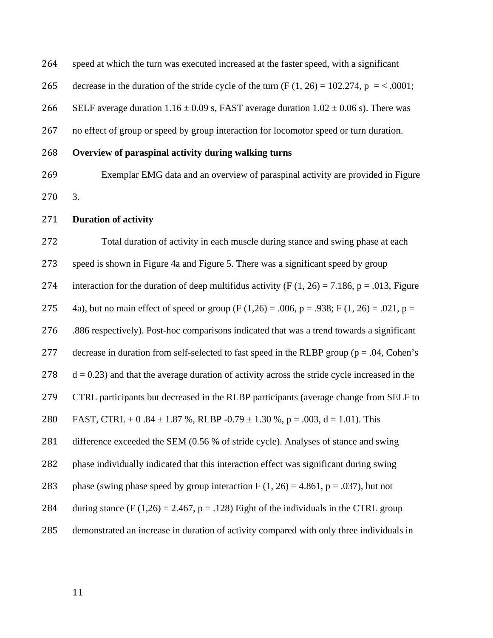264 speed at which the turn was executed increased at the faster speed, with a significant

265 decrease in the duration of the stride cycle of the turn  $(F (1, 26) = 102.274, p = < .0001;$ 

266 SELF average duration  $1.16 \pm 0.09$  s, FAST average duration  $1.02 \pm 0.06$  s). There was

267 no effect of group or speed by group interaction for locomotor speed or turn duration.

- 268 **Overview of paraspinal activity during walking turns**
- 269 Exemplar EMG data and an overview of paraspinal activity are provided in Figure 270 3.
- 271 **Duration of activity**

272 Total duration of activity in each muscle during stance and swing phase at each 273 speed is shown in Figure 4a and Figure 5. There was a significant speed by group 274 interaction for the duration of deep multifidus activity (F  $(1, 26) = 7.186$ , p = .013, Figure 275 4a), but no main effect of speed or group (F (1,26) = .006, p = .938; F (1, 26) = .021, p = 276 .886 respectively). Post-hoc comparisons indicated that was a trend towards a significant 277 decrease in duration from self-selected to fast speed in the RLBP group ( $p = .04$ , Cohen's  $278$  d = 0.23) and that the average duration of activity across the stride cycle increased in the 279 CTRL participants but decreased in the RLBP participants (average change from SELF to 280 FAST, CTRL + 0.84  $\pm$  1.87 %, RLBP -0.79  $\pm$  1.30 %, p = .003, d = 1.01). This 281 difference exceeded the SEM (0.56 % of stride cycle). Analyses of stance and swing 282 phase individually indicated that this interaction effect was significant during swing 283 phase (swing phase speed by group interaction F  $(1, 26) = 4.861$ , p = .037), but not 284 during stance (F (1,26) = 2.467, p = .128) Eight of the individuals in the CTRL group 285 demonstrated an increase in duration of activity compared with only three individuals in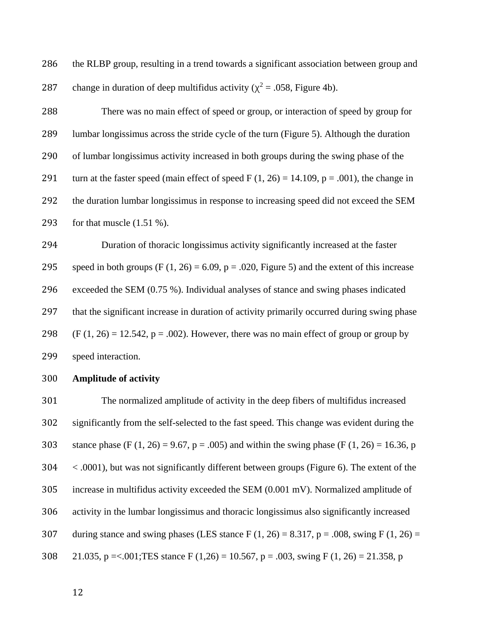286 the RLBP group, resulting in a trend towards a significant association between group and 287 change in duration of deep multifidus activity ( $\chi^2$  = .058, Figure 4b).

 There was no main effect of speed or group, or interaction of speed by group for lumbar longissimus across the stride cycle of the turn (Figure 5). Although the duration of lumbar longissimus activity increased in both groups during the swing phase of the 291 turn at the faster speed (main effect of speed F  $(1, 26) = 14.109$ , p = .001), the change in the duration lumbar longissimus in response to increasing speed did not exceed the SEM for that muscle (1.51 %).

 Duration of thoracic longissimus activity significantly increased at the faster 295 speed in both groups (F  $(1, 26) = 6.09$ , p = .020, Figure 5) and the extent of this increase exceeded the SEM (0.75 %). Individual analyses of stance and swing phases indicated 297 that the significant increase in duration of activity primarily occurred during swing phase 298 (F  $(1, 26) = 12.542$ , p = .002). However, there was no main effect of group or group by speed interaction.

## **Amplitude of activity**

 The normalized amplitude of activity in the deep fibers of multifidus increased significantly from the self-selected to the fast speed. This change was evident during the 303 stance phase (F (1, 26) = 9.67, p = .005) and within the swing phase (F (1, 26) = 16.36, p < .0001), but was not significantly different between groups (Figure 6). The extent of the increase in multifidus activity exceeded the SEM (0.001 mV). Normalized amplitude of activity in the lumbar longissimus and thoracic longissimus also significantly increased 307 during stance and swing phases (LES stance F  $(1, 26) = 8.317$ , p = .008, swing F  $(1, 26) =$ 308 21.035, p = <.001; TES stance F (1,26) = 10.567, p = .003, swing F (1, 26) = 21.358, p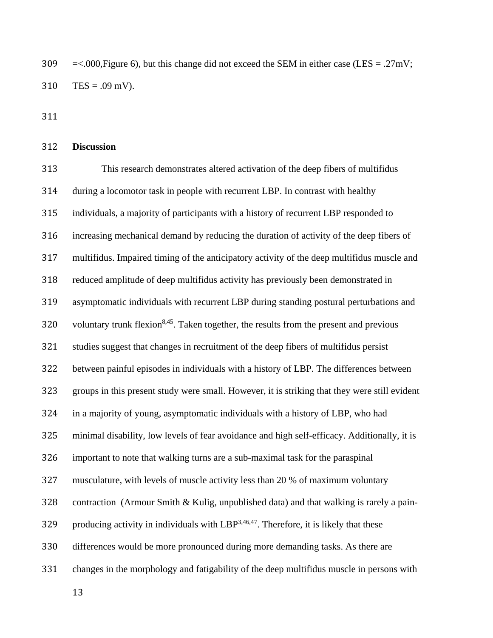309  $\approx$  =<.000, Figure 6), but this change did not exceed the SEM in either case (LES = .27mV; 310 TES = .09 mV).

311 

## 312 **Discussion**

313 This research demonstrates altered activation of the deep fibers of multifidus 314 during a locomotor task in people with recurrent LBP. In contrast with healthy 315 individuals, a majority of participants with a history of recurrent LBP responded to 316 increasing mechanical demand by reducing the duration of activity of the deep fibers of 317 multifidus. Impaired timing of the anticipatory activity of the deep multifidus muscle and 318 reduced amplitude of deep multifidus activity has previously been demonstrated in 319 asymptomatic individuals with recurrent LBP during standing postural perturbations and 320 voluntary trunk flexion<sup>8,45</sup>. Taken together, the results from the present and previous 321 studies suggest that changes in recruitment of the deep fibers of multifidus persist 322 between painful episodes in individuals with a history of LBP. The differences between 323 groups in this present study were small. However, it is striking that they were still evident 324 in a majority of young, asymptomatic individuals with a history of LBP, who had 325 minimal disability, low levels of fear avoidance and high self-efficacy. Additionally, it is 326 important to note that walking turns are a sub-maximal task for the paraspinal 327 musculature, with levels of muscle activity less than 20 % of maximum voluntary 328 contraction (Armour Smith & Kulig, unpublished data) and that walking is rarely a pain-329 producing activity in individuals with  $LBP^{3,46,47}$ . Therefore, it is likely that these 330 differences would be more pronounced during more demanding tasks. As there are 331 changes in the morphology and fatigability of the deep multifidus muscle in persons with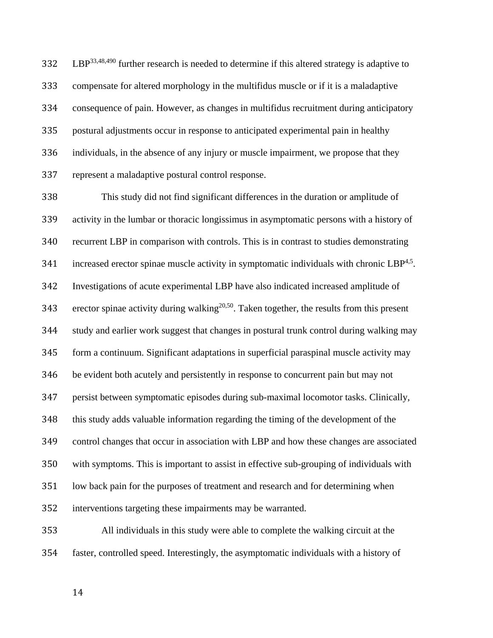$B^{\text{33,48,490}}$  further research is needed to determine if this altered strategy is adaptive to compensate for altered morphology in the multifidus muscle or if it is a maladaptive consequence of pain. However, as changes in multifidus recruitment during anticipatory postural adjustments occur in response to anticipated experimental pain in healthy 336 individuals, in the absence of any injury or muscle impairment, we propose that they represent a maladaptive postural control response.

 This study did not find significant differences in the duration or amplitude of activity in the lumbar or thoracic longissimus in asymptomatic persons with a history of recurrent LBP in comparison with controls. This is in contrast to studies demonstrating 341 increased erector spinae muscle activity in symptomatic individuals with chronic  $\text{LBP}^{4,5}$ . Investigations of acute experimental LBP have also indicated increased amplitude of 343 erector spinae activity during walking<sup>20,50</sup>. Taken together, the results from this present study and earlier work suggest that changes in postural trunk control during walking may form a continuum. Significant adaptations in superficial paraspinal muscle activity may be evident both acutely and persistently in response to concurrent pain but may not persist between symptomatic episodes during sub-maximal locomotor tasks. Clinically, this study adds valuable information regarding the timing of the development of the control changes that occur in association with LBP and how these changes are associated with symptoms. This is important to assist in effective sub-grouping of individuals with low back pain for the purposes of treatment and research and for determining when interventions targeting these impairments may be warranted.

 All individuals in this study were able to complete the walking circuit at the faster, controlled speed. Interestingly, the asymptomatic individuals with a history of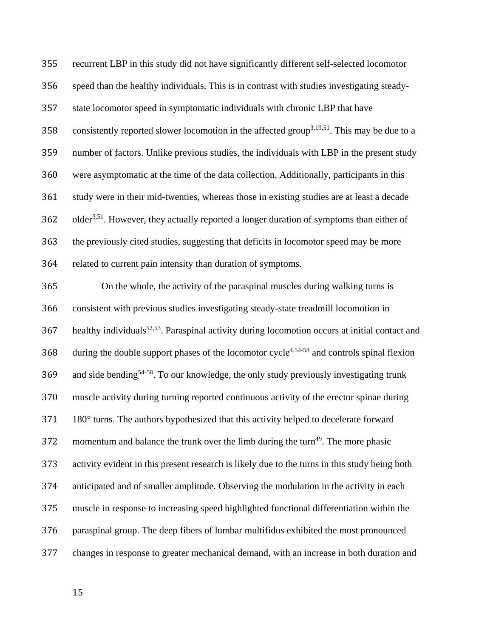recurrent LBP in this study did not have significantly different self-selected locomotor speed than the healthy individuals. This is in contrast with studies investigating steady- state locomotor speed in symptomatic individuals with chronic LBP that have 358 consistently reported slower locomotion in the affected group<sup>3,19,51</sup>. This may be due to a number of factors. Unlike previous studies, the individuals with LBP in the present study were asymptomatic at the time of the data collection. Additionally, participants in this study were in their mid-twenties, whereas those in existing studies are at least a decade older<sup>3,51</sup>. However, they actually reported a longer duration of symptoms than either of the previously cited studies, suggesting that deficits in locomotor speed may be more related to current pain intensity than duration of symptoms.

365 On the whole, the activity of the paraspinal muscles during walking turns is consistent with previous studies investigating steady-state treadmill locomotion in healthy individuals<sup>52,53</sup>. Paraspinal activity during locomotion occurs at initial contact and during the double support phases of the locomotor cycle<sup>4,54-58</sup> and controls spinal flexion 369 and side bending<sup>54-58</sup>. To our knowledge, the only study previously investigating trunk muscle activity during turning reported continuous activity of the erector spinae during 371 180° turns. The authors hypothesized that this activity helped to decelerate forward 372 momentum and balance the trunk over the limb during the turn<sup>49</sup>. The more phasic activity evident in this present research is likely due to the turns in this study being both anticipated and of smaller amplitude. Observing the modulation in the activity in each muscle in response to increasing speed highlighted functional differentiation within the paraspinal group. The deep fibers of lumbar multifidus exhibited the most pronounced changes in response to greater mechanical demand, with an increase in both duration and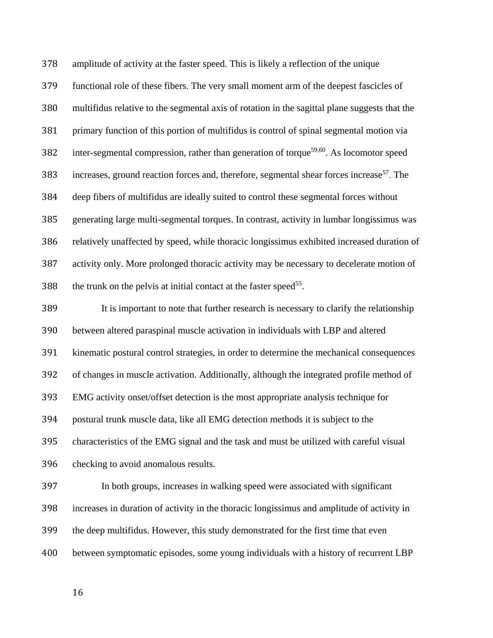amplitude of activity at the faster speed. This is likely a reflection of the unique functional role of these fibers. The very small moment arm of the deepest fascicles of multifidus relative to the segmental axis of rotation in the sagittal plane suggests that the primary function of this portion of multifidus is control of spinal segmental motion via 382 inter-segmental compression, rather than generation of torque<sup>59,60</sup>. As locomotor speed 383 increases, ground reaction forces and, therefore, segmental shear forces increase<sup>57</sup>. The deep fibers of multifidus are ideally suited to control these segmental forces without generating large multi-segmental torques. In contrast, activity in lumbar longissimus was relatively unaffected by speed, while thoracic longissimus exhibited increased duration of 387 activity only. More prolonged thoracic activity may be necessary to decelerate motion of 388 the trunk on the pelvis at initial contact at the faster speed<sup>55</sup>.

389 It is important to note that further research is necessary to clarify the relationship between altered paraspinal muscle activation in individuals with LBP and altered kinematic postural control strategies, in order to determine the mechanical consequences of changes in muscle activation. Additionally, although the integrated profile method of EMG activity onset/offset detection is the most appropriate analysis technique for postural trunk muscle data, like all EMG detection methods it is subject to the characteristics of the EMG signal and the task and must be utilized with careful visual checking to avoid anomalous results.

397 In both groups, increases in walking speed were associated with significant increases in duration of activity in the thoracic longissimus and amplitude of activity in 399 the deep multifidus. However, this study demonstrated for the first time that even between symptomatic episodes, some young individuals with a history of recurrent LBP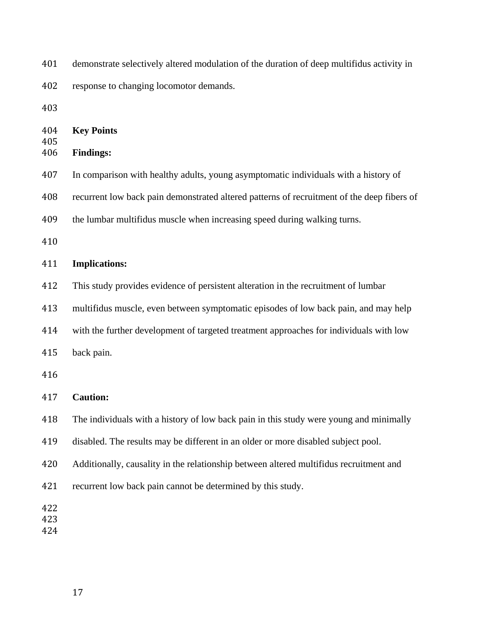demonstrate selectively altered modulation of the duration of deep multifidus activity in

response to changing locomotor demands.

| 404<br>405        | <b>Key Points</b>                                                                          |  |  |  |
|-------------------|--------------------------------------------------------------------------------------------|--|--|--|
| 406               | <b>Findings:</b>                                                                           |  |  |  |
| 407               | In comparison with healthy adults, young asymptomatic individuals with a history of        |  |  |  |
| 408               | recurrent low back pain demonstrated altered patterns of recruitment of the deep fibers of |  |  |  |
| 409               | the lumbar multifidus muscle when increasing speed during walking turns.                   |  |  |  |
| 410               |                                                                                            |  |  |  |
| 411               | <b>Implications:</b>                                                                       |  |  |  |
| 412               | This study provides evidence of persistent alteration in the recruitment of lumbar         |  |  |  |
| 413               | multifidus muscle, even between symptomatic episodes of low back pain, and may help        |  |  |  |
| 414               | with the further development of targeted treatment approaches for individuals with low     |  |  |  |
| 415               | back pain.                                                                                 |  |  |  |
| 416               |                                                                                            |  |  |  |
| 417               | <b>Caution:</b>                                                                            |  |  |  |
| 418               | The individuals with a history of low back pain in this study were young and minimally     |  |  |  |
| 419               | disabled. The results may be different in an older or more disabled subject pool.          |  |  |  |
| 420               | Additionally, causality in the relationship between altered multifidus recruitment and     |  |  |  |
| 421               | recurrent low back pain cannot be determined by this study.                                |  |  |  |
| 422<br>423<br>424 |                                                                                            |  |  |  |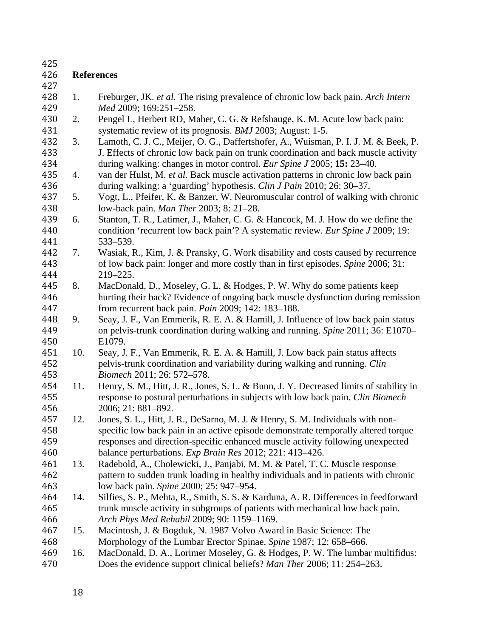| 425 |                   |                                                                                        |  |  |
|-----|-------------------|----------------------------------------------------------------------------------------|--|--|
| 426 | <b>References</b> |                                                                                        |  |  |
| 427 |                   |                                                                                        |  |  |
| 428 | 1.                | Freburger, JK. et al. The rising prevalence of chronic low back pain. Arch Intern      |  |  |
| 429 |                   | Med 2009; 169:251-258.                                                                 |  |  |
| 430 | 2.                | Pengel L, Herbert RD, Maher, C. G. & Refshauge, K. M. Acute low back pain:             |  |  |
| 431 |                   | systematic review of its prognosis. BMJ 2003; August: 1-5.                             |  |  |
| 432 | 3.                | Lamoth, C. J. C., Meijer, O. G., Daffertshofer, A., Wuisman, P. I. J. M. & Beek, P.    |  |  |
| 433 |                   | J. Effects of chronic low back pain on trunk coordination and back muscle activity     |  |  |
| 434 |                   | during walking: changes in motor control. Eur Spine J 2005; 15: 23–40.                 |  |  |
| 435 | 4.                | van der Hulst, M. et al. Back muscle activation patterns in chronic low back pain      |  |  |
| 436 |                   | during walking: a 'guarding' hypothesis. Clin J Pain 2010; 26: 30–37.                  |  |  |
| 437 | 5.                | Vogt, L., Pfeifer, K. & Banzer, W. Neuromuscular control of walking with chronic       |  |  |
| 438 |                   | low-back pain. Man Ther 2003; 8: 21–28.                                                |  |  |
| 439 | 6.                | Stanton, T. R., Latimer, J., Maher, C. G. & Hancock, M. J. How do we define the        |  |  |
| 440 |                   | condition 'recurrent low back pain'? A systematic review. Eur Spine J 2009; 19:        |  |  |
| 441 |                   | 533-539.                                                                               |  |  |
| 442 | 7.                | Wasiak, R., Kim, J. & Pransky, G. Work disability and costs caused by recurrence       |  |  |
| 443 |                   | of low back pain: longer and more costly than in first episodes. Spine 2006; 31:       |  |  |
| 444 |                   | 219-225.                                                                               |  |  |
| 445 | 8.                | MacDonald, D., Moseley, G. L. & Hodges, P. W. Why do some patients keep                |  |  |
| 446 |                   | hurting their back? Evidence of ongoing back muscle dysfunction during remission       |  |  |
| 447 |                   | from recurrent back pain. Pain 2009; 142: 183-188.                                     |  |  |
| 448 | 9.                | Seay, J. F., Van Emmerik, R. E. A. & Hamill, J. Influence of low back pain status      |  |  |
| 449 |                   | on pelvis-trunk coordination during walking and running. Spine 2011; 36: E1070–        |  |  |
| 450 |                   | E1079.                                                                                 |  |  |
| 451 | 10.               | Seay, J. F., Van Emmerik, R. E. A. & Hamill, J. Low back pain status affects           |  |  |
| 452 |                   | pelvis-trunk coordination and variability during walking and running. Clin             |  |  |
| 453 |                   | Biomech 2011; 26: 572-578.                                                             |  |  |
| 454 | 11.               | Henry, S. M., Hitt, J. R., Jones, S. L. & Bunn, J. Y. Decreased limits of stability in |  |  |
| 455 |                   | response to postural perturbations in subjects with low back pain. Clin Biomech        |  |  |
| 456 |                   | 2006; 21: 881-892.                                                                     |  |  |
| 457 | 12.               | Jones, S. L., Hitt, J. R., DeSarno, M. J. & Henry, S. M. Individuals with non-         |  |  |
| 458 |                   | specific low back pain in an active episode demonstrate temporally altered torque      |  |  |
| 459 |                   | responses and direction-specific enhanced muscle activity following unexpected         |  |  |
| 460 |                   | balance perturbations. Exp Brain Res 2012; 221: 413-426.                               |  |  |
| 461 | 13.               | Radebold, A., Cholewicki, J., Panjabi, M. M. & Patel, T. C. Muscle response            |  |  |
| 462 |                   | pattern to sudden trunk loading in healthy individuals and in patients with chronic    |  |  |
| 463 |                   | low back pain. Spine 2000; 25: 947–954.                                                |  |  |
| 464 | 14.               | Silfies, S. P., Mehta, R., Smith, S. S. & Karduna, A. R. Differences in feedforward    |  |  |
| 465 |                   | trunk muscle activity in subgroups of patients with mechanical low back pain.          |  |  |
| 466 |                   | Arch Phys Med Rehabil 2009; 90: 1159-1169.                                             |  |  |
| 467 | 15.               | Macintosh, J. & Bogduk, N. 1987 Volvo Award in Basic Science: The                      |  |  |
| 468 |                   | Morphology of the Lumbar Erector Spinae. Spine 1987; 12: 658–666.                      |  |  |
| 469 | 16.               | MacDonald, D. A., Lorimer Moseley, G. & Hodges, P. W. The lumbar multifidus:           |  |  |
| 470 |                   | Does the evidence support clinical beliefs? Man Ther 2006; 11: 254–263.                |  |  |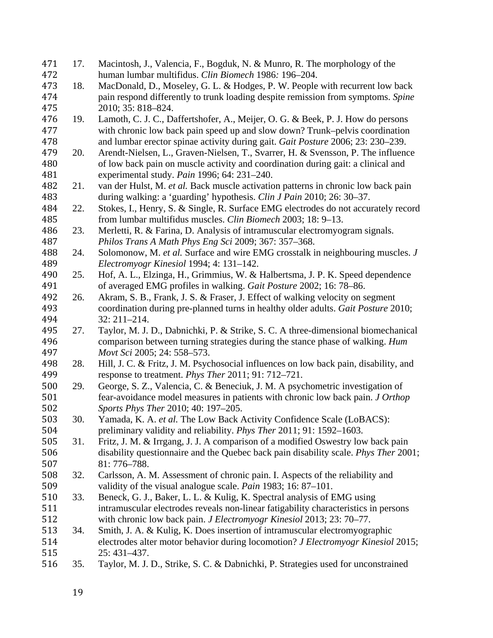| 471 | 17. | Macintosh, J., Valencia, F., Bogduk, N. & Munro, R. The morphology of the            |
|-----|-----|--------------------------------------------------------------------------------------|
| 472 |     | human lumbar multifidus. Clin Biomech 1986: 196-204.                                 |
| 473 | 18. | MacDonald, D., Moseley, G. L. & Hodges, P. W. People with recurrent low back         |
| 474 |     | pain respond differently to trunk loading despite remission from symptoms. Spine     |
| 475 |     | 2010; 35: 818-824.                                                                   |
| 476 | 19. | Lamoth, C. J. C., Daffertshofer, A., Meijer, O. G. & Beek, P. J. How do persons      |
| 477 |     | with chronic low back pain speed up and slow down? Trunk–pelvis coordination         |
| 478 |     | and lumbar erector spinae activity during gait. Gait Posture 2006; 23: 230–239.      |
| 479 | 20. | Arendt-Nielsen, L., Graven-Nielsen, T., Svarrer, H. & Svensson, P. The influence     |
| 480 |     | of low back pain on muscle activity and coordination during gait: a clinical and     |
| 481 |     | experimental study. Pain 1996; 64: 231-240.                                          |
| 482 | 21. | van der Hulst, M. et al. Back muscle activation patterns in chronic low back pain    |
| 483 |     | during walking: a 'guarding' hypothesis. Clin J Pain 2010; 26: 30–37.                |
| 484 | 22. | Stokes, I., Henry, S. & Single, R. Surface EMG electrodes do not accurately record   |
| 485 |     | from lumbar multifidus muscles. Clin Biomech 2003; 18: 9-13.                         |
| 486 | 23. | Merletti, R. & Farina, D. Analysis of intramuscular electromyogram signals.          |
| 487 |     | Philos Trans A Math Phys Eng Sci 2009; 367: 357-368.                                 |
| 488 | 24. | Solomonow, M. et al. Surface and wire EMG crosstalk in neighbouring muscles. J       |
| 489 |     | Electromyogr Kinesiol 1994; 4: 131-142.                                              |
| 490 | 25. | Hof, A. L., Elzinga, H., Grimmius, W. & Halbertsma, J. P. K. Speed dependence        |
| 491 |     | of averaged EMG profiles in walking. Gait Posture 2002; 16: 78-86.                   |
| 492 | 26. | Akram, S. B., Frank, J. S. & Fraser, J. Effect of walking velocity on segment        |
| 493 |     | coordination during pre-planned turns in healthy older adults. Gait Posture 2010;    |
| 494 |     | 32: 211-214.                                                                         |
| 495 | 27. | Taylor, M. J. D., Dabnichki, P. & Strike, S. C. A three-dimensional biomechanical    |
| 496 |     | comparison between turning strategies during the stance phase of walking. Hum        |
| 497 |     | Movt Sci 2005; 24: 558-573.                                                          |
| 498 | 28. | Hill, J. C. & Fritz, J. M. Psychosocial influences on low back pain, disability, and |
| 499 |     | response to treatment. Phys Ther 2011; 91: 712-721.                                  |
| 500 | 29. | George, S. Z., Valencia, C. & Beneciuk, J. M. A psychometric investigation of        |
| 501 |     | fear-avoidance model measures in patients with chronic low back pain. J Orthop       |
| 502 |     | Sports Phys Ther 2010; 40: 197-205.                                                  |
| 503 | 30. | Yamada, K. A. et al. The Low Back Activity Confidence Scale (LoBACS):                |
| 504 |     | preliminary validity and reliability. <i>Phys Ther</i> 2011; 91: 1592–1603.          |
| 505 | 31. | Fritz, J. M. & Irrgang, J. J. A comparison of a modified Oswestry low back pain      |
| 506 |     | disability questionnaire and the Quebec back pain disability scale. Phys Ther 2001;  |
| 507 |     | 81: 776-788.                                                                         |
| 508 | 32. | Carlsson, A. M. Assessment of chronic pain. I. Aspects of the reliability and        |
| 509 |     | validity of the visual analogue scale. <i>Pain</i> 1983; 16: 87–101.                 |
| 510 | 33. | Beneck, G. J., Baker, L. L. & Kulig, K. Spectral analysis of EMG using               |
| 511 |     | intramuscular electrodes reveals non-linear fatigability characteristics in persons  |
| 512 |     | with chronic low back pain. J Electromyogr Kinesiol 2013; 23: 70–77.                 |
| 513 | 34. | Smith, J. A. & Kulig, K. Does insertion of intramuscular electromyographic           |
| 514 |     | electrodes alter motor behavior during locomotion? J Electromyogr Kinesiol 2015;     |
| 515 |     | 25: 431-437.                                                                         |
| 516 | 35. | Taylor, M. J. D., Strike, S. C. & Dabnichki, P. Strategies used for unconstrained    |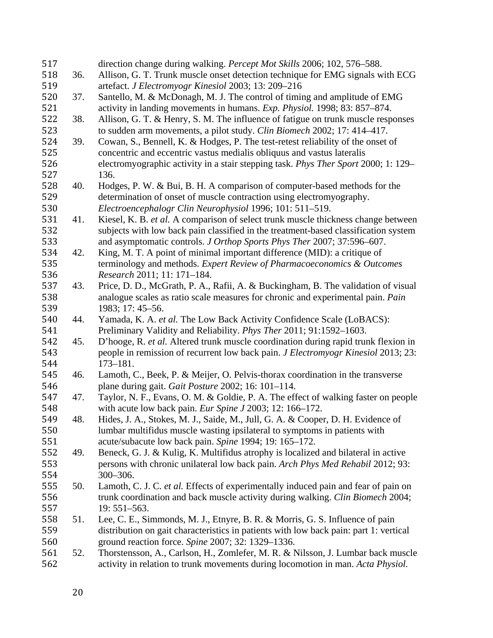| 517 |     | direction change during walking. Percept Mot Skills 2006; 102, 576-588.               |
|-----|-----|---------------------------------------------------------------------------------------|
| 518 | 36. | Allison, G. T. Trunk muscle onset detection technique for EMG signals with ECG        |
| 519 |     | artefact. J Electromyogr Kinesiol 2003; 13: 209-216                                   |
| 520 | 37. | Santello, M. & McDonagh, M. J. The control of timing and amplitude of EMG             |
| 521 |     | activity in landing movements in humans. Exp. Physiol. 1998; 83: 857–874.             |
| 522 | 38. | Allison, G. T. & Henry, S. M. The influence of fatigue on trunk muscle responses      |
| 523 |     | to sudden arm movements, a pilot study. Clin Biomech 2002; 17: 414-417.               |
| 524 | 39. | Cowan, S., Bennell, K. & Hodges, P. The test-retest reliability of the onset of       |
| 525 |     | concentric and eccentric vastus medialis obliquus and vastus lateralis                |
| 526 |     | electromyographic activity in a stair stepping task. Phys Ther Sport 2000; 1: 129–    |
| 527 |     | 136.                                                                                  |
| 528 | 40. | Hodges, P. W. & Bui, B. H. A comparison of computer-based methods for the             |
| 529 |     | determination of onset of muscle contraction using electromyography.                  |
| 530 |     | Electroencephalogr Clin Neurophysiol 1996; 101: 511–519.                              |
| 531 | 41. | Kiesel, K. B. et al. A comparison of select trunk muscle thickness change between     |
| 532 |     | subjects with low back pain classified in the treatment-based classification system   |
| 533 |     | and asymptomatic controls. J Orthop Sports Phys Ther 2007; 37:596-607.                |
| 534 | 42. | King, M. T. A point of minimal important difference (MID): a critique of              |
| 535 |     | terminology and methods. Expert Review of Pharmacoeconomics & Outcomes                |
| 536 |     | Research 2011; 11: 171-184.                                                           |
| 537 | 43. | Price, D. D., McGrath, P. A., Rafii, A. & Buckingham, B. The validation of visual     |
| 538 |     | analogue scales as ratio scale measures for chronic and experimental pain. Pain       |
| 539 |     | 1983; 17: 45-56.                                                                      |
| 540 | 44. | Yamada, K. A. et al. The Low Back Activity Confidence Scale (LoBACS):                 |
| 541 |     | Preliminary Validity and Reliability. Phys Ther 2011; 91:1592-1603.                   |
| 542 | 45. | D'hooge, R. et al. Altered trunk muscle coordination during rapid trunk flexion in    |
| 543 |     | people in remission of recurrent low back pain. J Electromyogr Kinesiol 2013; 23:     |
| 544 |     | $173 - 181.$                                                                          |
| 545 | 46. | Lamoth, C., Beek, P. & Meijer, O. Pelvis-thorax coordination in the transverse        |
| 546 |     | plane during gait. Gait Posture 2002; 16: 101-114.                                    |
| 547 | 47. | Taylor, N. F., Evans, O. M. & Goldie, P. A. The effect of walking faster on people    |
| 548 |     | with acute low back pain. Eur Spine J 2003; 12: 166-172.                              |
| 549 | 48. | Hides, J. A., Stokes, M. J., Saide, M., Jull, G. A. & Cooper, D. H. Evidence of       |
| 550 |     | lumbar multifidus muscle wasting ipsilateral to symptoms in patients with             |
| 551 |     | acute/subacute low back pain. Spine 1994; 19: 165-172.                                |
| 552 | 49. | Beneck, G. J. & Kulig, K. Multifidus atrophy is localized and bilateral in active     |
| 553 |     | persons with chronic unilateral low back pain. Arch Phys Med Rehabil 2012; 93:        |
| 554 |     | 300-306.                                                                              |
| 555 | 50. | Lamoth, C. J. C. et al. Effects of experimentally induced pain and fear of pain on    |
| 556 |     | trunk coordination and back muscle activity during walking. Clin Biomech 2004;        |
| 557 |     | 19: 551-563.                                                                          |
| 558 | 51. | Lee, C. E., Simmonds, M. J., Etnyre, B. R. & Morris, G. S. Influence of pain          |
| 559 |     | distribution on gait characteristics in patients with low back pain: part 1: vertical |
| 560 |     | ground reaction force. Spine 2007; 32: 1329-1336.                                     |
| 561 | 52. | Thorstensson, A., Carlson, H., Zomlefer, M. R. & Nilsson, J. Lumbar back muscle       |
| 562 |     | activity in relation to trunk movements during locomotion in man. Acta Physiol.       |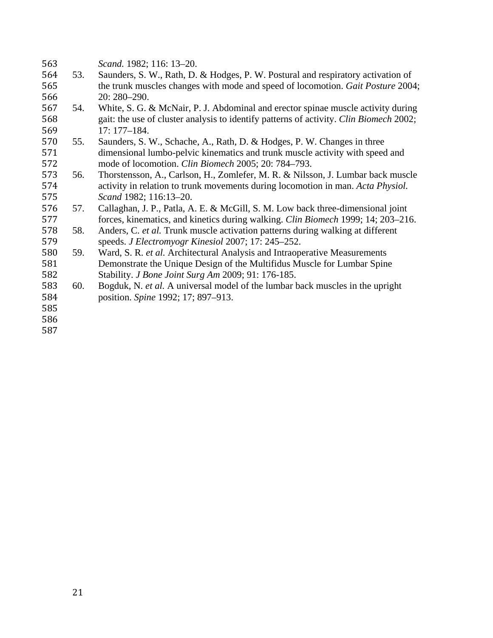| 563 |     | Scand. 1982; 116: 13-20.                                                               |
|-----|-----|----------------------------------------------------------------------------------------|
| 564 | 53. | Saunders, S. W., Rath, D. & Hodges, P. W. Postural and respiratory activation of       |
| 565 |     | the trunk muscles changes with mode and speed of locomotion. Gait Posture 2004;        |
| 566 |     | 20: 280-290.                                                                           |
| 567 | 54. | White, S. G. & McNair, P. J. Abdominal and erector spinae muscle activity during       |
| 568 |     | gait: the use of cluster analysis to identify patterns of activity. Clin Biomech 2002; |
| 569 |     | $17:177 - 184.$                                                                        |
| 570 | 55. | Saunders, S. W., Schache, A., Rath, D. & Hodges, P. W. Changes in three                |
| 571 |     | dimensional lumbo-pelvic kinematics and trunk muscle activity with speed and           |
| 572 |     | mode of locomotion. Clin Biomech 2005; 20: 784-793.                                    |
| 573 | 56. | Thorstensson, A., Carlson, H., Zomlefer, M. R. & Nilsson, J. Lumbar back muscle        |
| 574 |     | activity in relation to trunk movements during locomotion in man. Acta Physiol.        |
| 575 |     | Scand 1982; 116:13-20.                                                                 |
| 576 | 57. | Callaghan, J. P., Patla, A. E. & McGill, S. M. Low back three-dimensional joint        |
| 577 |     | forces, kinematics, and kinetics during walking. Clin Biomech 1999; 14; 203-216.       |
| 578 | 58. | Anders, C. et al. Trunk muscle activation patterns during walking at different         |
| 579 |     | speeds. J Electromyogr Kinesiol 2007; 17: 245–252.                                     |
| 580 | 59. | Ward, S. R. et al. Architectural Analysis and Intraoperative Measurements              |
| 581 |     | Demonstrate the Unique Design of the Multifidus Muscle for Lumbar Spine                |
| 582 |     | Stability. J Bone Joint Surg Am 2009; 91: 176-185.                                     |
| 583 | 60. | Bogduk, N. et al. A universal model of the lumbar back muscles in the upright          |
| 584 |     | position. Spine 1992; 17; 897-913.                                                     |
| 585 |     |                                                                                        |
| 586 |     |                                                                                        |
| 587 |     |                                                                                        |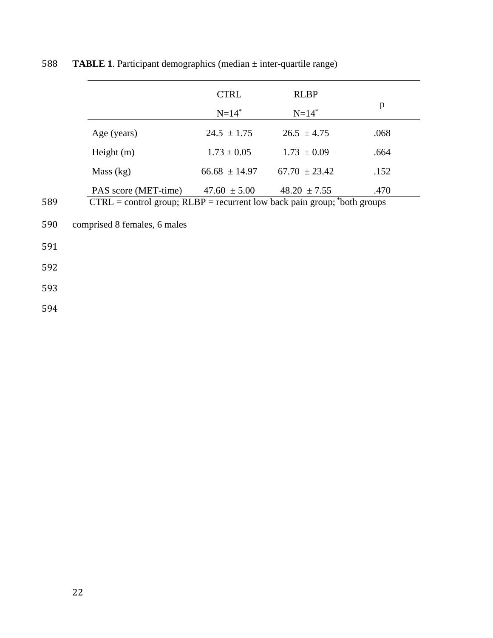|     |                                                                                | <b>CTRL</b><br>$N = 14$ <sup>*</sup> | <b>RLBP</b><br>$N = 14$ <sup>*</sup> | p    |
|-----|--------------------------------------------------------------------------------|--------------------------------------|--------------------------------------|------|
|     | Age (years)                                                                    | $24.5 \pm 1.75$                      | $26.5 \pm 4.75$                      | .068 |
|     | Height $(m)$                                                                   | $1.73 \pm 0.05$                      | $1.73 \pm 0.09$                      | .664 |
|     | Mass (kg)                                                                      | $66.68 \pm 14.97$                    | $67.70 \pm 23.42$                    | .152 |
|     | PAS score (MET-time)                                                           | $47.60 \pm 5.00$                     | $48.20 \pm 7.55$                     | .470 |
| 589 | $CTRL = control group$ ; $RLBP = recurrent low back pain group$ ; *both groups |                                      |                                      |      |
| 590 | comprised 8 females, 6 males                                                   |                                      |                                      |      |
| 501 |                                                                                |                                      |                                      |      |

## 588 **TABLE 1**. Participant demographics (median  $\pm$  inter-quartile range)

591 

 $590$ 

592 

593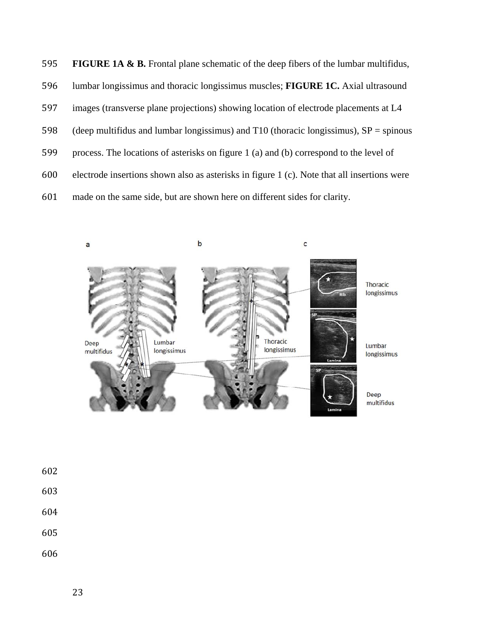| 595 | <b>FIGURE 1A &amp; B.</b> Frontal plane schematic of the deep fibers of the lumbar multifidus, |
|-----|------------------------------------------------------------------------------------------------|
| 596 | lumbar longissimus and thoracic longissimus muscles; FIGURE 1C. Axial ultrasound               |
| 597 | images (transverse plane projections) showing location of electrode placements at L4           |
| 598 | (deep multifidus and lumbar longissimus) and T10 (thoracic longissimus), $SP =$ spinous        |
| 599 | process. The locations of asterisks on figure 1 (a) and (b) correspond to the level of         |
| 600 | electrode insertions shown also as asterisks in figure 1 (c). Note that all insertions were    |
| 601 | made on the same side, but are shown here on different sides for clarity.                      |



- 
- 
- 
- 
-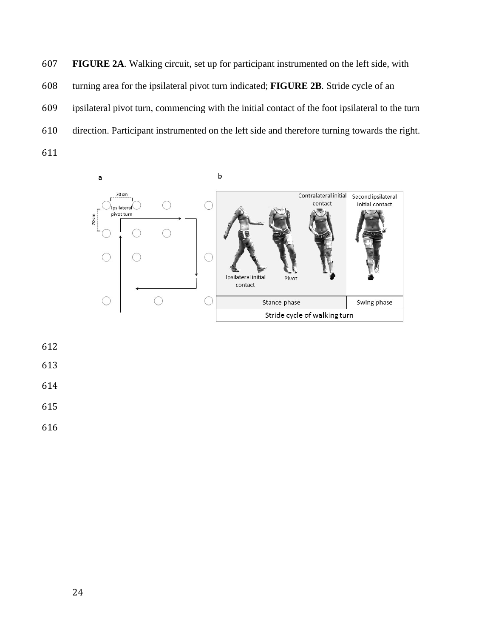**FIGURE 2A***.* Walking circuit, set up for participant instrumented on the left side, with turning area for the ipsilateral pivot turn indicated; **FIGURE 2B***.* Stride cycle of an ipsilateral pivot turn, commencing with the initial contact of the foot ipsilateral to the turn direction. Participant instrumented on the left side and therefore turning towards the right. 

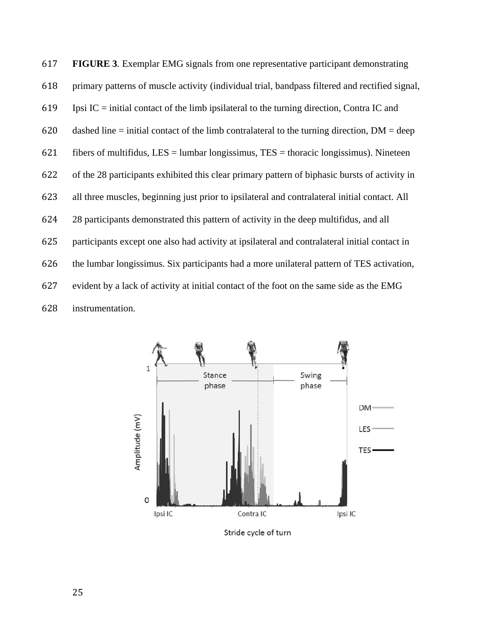**FIGURE 3***.* Exemplar EMG signals from one representative participant demonstrating primary patterns of muscle activity (individual trial, bandpass filtered and rectified signal, 619 Ipsi IC = initial contact of the limb ipsilateral to the turning direction, Contra IC and 620 dashed line = initial contact of the limb contralateral to the turning direction,  $DM = deep$ 621 fibers of multifidus, LES = lumbar longissimus, TES = thoracic longissimus). Nineteen of the 28 participants exhibited this clear primary pattern of biphasic bursts of activity in all three muscles, beginning just prior to ipsilateral and contralateral initial contact. All 28 participants demonstrated this pattern of activity in the deep multifidus, and all participants except one also had activity at ipsilateral and contralateral initial contact in the lumbar longissimus. Six participants had a more unilateral pattern of TES activation, evident by a lack of activity at initial contact of the foot on the same side as the EMG instrumentation.



Stride cycle of turn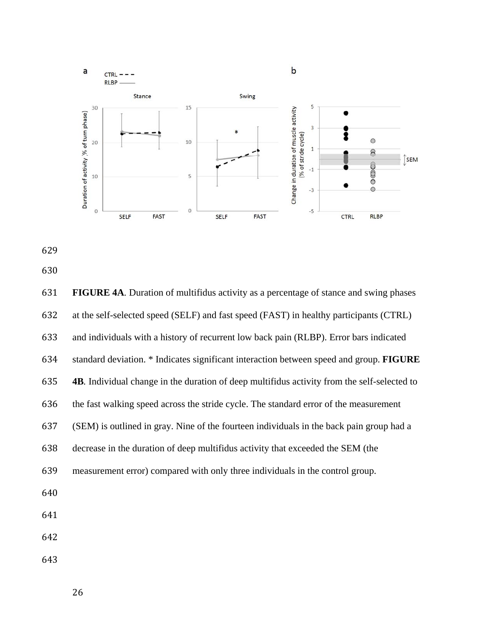

- 
- 

 **FIGURE 4A***.* Duration of multifidus activity as a percentage of stance and swing phases at the self-selected speed (SELF) and fast speed (FAST) in healthy participants (CTRL) and individuals with a history of recurrent low back pain (RLBP). Error bars indicated standard deviation. \* Indicates significant interaction between speed and group. **FIGURE 4B***.* Individual change in the duration of deep multifidus activity from the self-selected to the fast walking speed across the stride cycle. The standard error of the measurement (SEM) is outlined in gray. Nine of the fourteen individuals in the back pain group had a decrease in the duration of deep multifidus activity that exceeded the SEM (the measurement error) compared with only three individuals in the control group.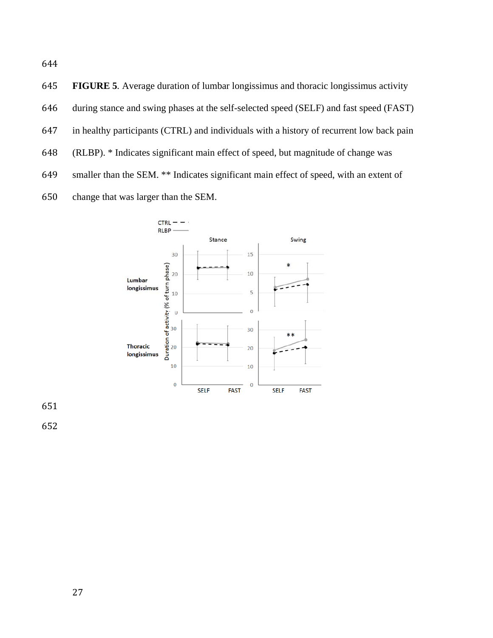**FIGURE 5***.* Average duration of lumbar longissimus and thoracic longissimus activity during stance and swing phases at the self-selected speed (SELF) and fast speed (FAST) in healthy participants (CTRL) and individuals with a history of recurrent low back pain (RLBP). \* Indicates significant main effect of speed, but magnitude of change was smaller than the SEM. \*\* Indicates significant main effect of speed, with an extent of change that was larger than the SEM.